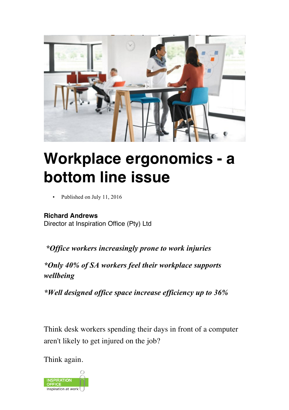

## **Workplace ergonomics - a bottom line issue**

Published on July 11, 2016

## **Richard Andrews**

Director at Inspiration Office (Pty) Ltd

*\*Office workers increasingly prone to work injuries*

*\*Only 40% of SA workers feel their workplace supports wellbeing*

*\*Well designed office space increase efficiency up to 36%*

Think desk workers spending their days in front of a computer aren't likely to get injured on the job?

Think again.

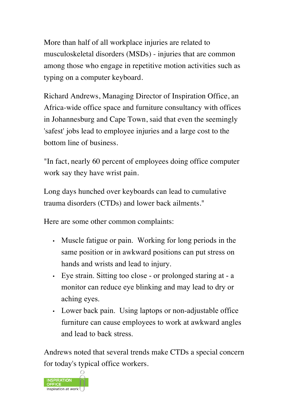More than half of all workplace injuries are related to musculoskeletal disorders (MSDs) - injuries that are common among those who engage in repetitive motion activities such as typing on a computer keyboard.

Richard Andrews, Managing Director of Inspiration Office, an Africa-wide office space and furniture consultancy with offices in Johannesburg and Cape Town, said that even the seemingly 'safest' jobs lead to employee injuries and a large cost to the bottom line of business.

"In fact, nearly 60 percent of employees doing office computer work say they have wrist pain.

Long days hunched over keyboards can lead to cumulative trauma disorders (CTDs) and lower back ailments."

Here are some other common complaints:

- Muscle fatigue or pain. Working for long periods in the same position or in awkward positions can put stress on hands and wrists and lead to injury.
- Eye strain. Sitting too close or prolonged staring at a monitor can reduce eye blinking and may lead to dry or aching eyes.
- Lower back pain. Using laptops or non-adjustable office furniture can cause employees to work at awkward angles and lead to back stress.

Andrews noted that several trends make CTDs a special concern for today's typical office workers.

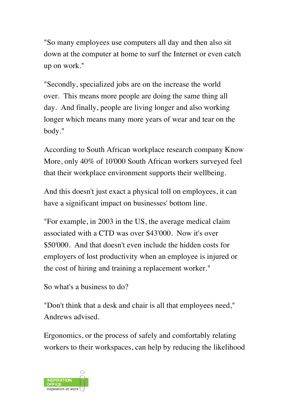"So many employees use computers all day and then also sit down at the computer at home to surf the Internet or even catch up on work."

"Secondly, specialized jobs are on the increase the world over. This means more people are doing the same thing all day. And finally, people are living longer and also working longer which means many more years of wear and tear on the body."

According to South African workplace research company Know More, only 40% of 10'000 South African workers surveyed feel that their workplace environment supports their wellbeing.

And this doesn't just exact a physical toll on employees, it can have a significant impact on businesses' bottom line.

"For example, in 2003 in the US, the average medical claim associated with a CTD was over \$43'000. Now it's over \$50'000. And that doesn't even include the hidden costs for employers of lost productivity when an employee is injured or the cost of hiring and training a replacement worker."

So what's a business to do?

"Don't think that a desk and chair is all that employees need," Andrews advised.

Ergonomics, or the process of safely and comfortably relating workers to their workspaces, can help by reducing the likelihood

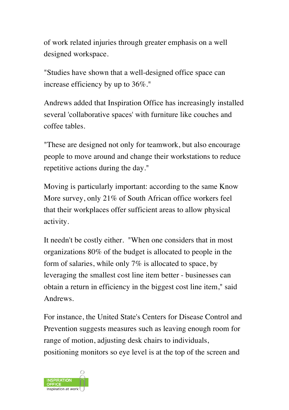of work related injuries through greater emphasis on a well designed workspace.

"Studies have shown that a well-designed office space can increase efficiency by up to 36%."

Andrews added that Inspiration Office has increasingly installed several 'collaborative spaces' with furniture like couches and coffee tables.

"These are designed not only for teamwork, but also encourage people to move around and change their workstations to reduce repetitive actions during the day."

Moving is particularly important: according to the same Know More survey, only 21% of South African office workers feel that their workplaces offer sufficient areas to allow physical activity.

It needn't be costly either. "When one considers that in most organizations 80% of the budget is allocated to people in the form of salaries, while only 7% is allocated to space, by leveraging the smallest cost line item better - businesses can obtain a return in efficiency in the biggest cost line item," said Andrews.

For instance, the United State's Centers for Disease Control and Prevention suggests measures such as leaving enough room for range of motion, adjusting desk chairs to individuals, positioning monitors so eye level is at the top of the screen and

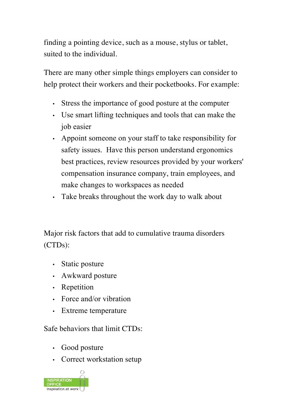finding a pointing device, such as a mouse, stylus or tablet, suited to the individual.

There are many other simple things employers can consider to help protect their workers and their pocketbooks. For example:

- Stress the importance of good posture at the computer
- Use smart lifting techniques and tools that can make the job easier
- Appoint someone on your staff to take responsibility for safety issues. Have this person understand ergonomics best practices, review resources provided by your workers' compensation insurance company, train employees, and make changes to workspaces as needed
- Take breaks throughout the work day to walk about

Major risk factors that add to cumulative trauma disorders (CTDs):

- Static posture
- Awkward posture
- Repetition
- Force and/or vibration
- Extreme temperature

Safe behaviors that limit CTDs:

- Good posture
- Correct workstation setup